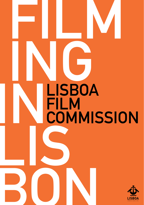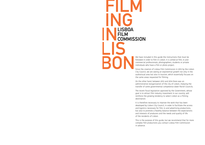**FILM ING IN**<br> **LISBOA**<br>
COMMIS **LIS BON FILM COMMISSION**

We have included in this guide the instructions that must be followed in order to film in Lisbon. It is aimed at film, tv and commercial professionals, photographers, students or private individuals who have a film or photo project.

Since the creation of Lisboa Film Commission in 2012 by the Lisbon City Council, we are seeing an exponential growth not only in the audiovisual area but also in tourism, which essentially focuses on the same areas requested for filming.

On the other hand, between 2012 and 2014 there was an administrative reorganization of the city of Lisbon, implying the transfer of some governmental competence down Parish Councils.

The recent fiscal legislation approved by the Government, whose goal is to attract film industry investment in our country, will reinforce the growing tendency to select Lisbon as a filming destination.

It is therefore necessary to improve the work that has been developed by Lisbon City Council, in order to facilitate the access and logistics necessary for film, tv and advertising productions, but also to promote a healthy balance between the expectations and interests of producers and the needs and quality of life of the residents of Lisbon.

This is the purpose of this guide, but we recommend that for more complex film productions you contact Lisboa Film Commission in advance.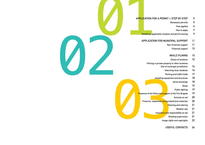# **APPLICATION FOR A PERMIT > STEP BY STEP**<br>
Necessary permits<br>
Fees applied<br> *Bout to apply*<br> **Deadlines.** application analysis and permit issuing<br> **APPLICATION FOR MUNICIPAL SUPPORT**<br>
Non-Financial support<br> **Engineering Su**

- **Necessary permits 5**
	- **Fees applied 6**
	- **How to apply 7**
- **Deadlines: application analysis and permit issuing 9**

#### **APPLICATION FOR MUNICIPAL SUPPORT 11**

- **Non-Financial support 11**
	- **Financial support 13**

## **WHILE FILMING 15**

- **Choice of locations 15**
- **Filming in private property or other locations**

02

- **(Out of municipal jurisdiction) 16**
	- **Informing local residents 16**
	- **Parking and traffic holds 17**
- **Installing equipment and structures 18**
	- **Aerial shootings 18**
		- **Noise 19**
	- **Public lighting 19**
- Presence of the Police and support of<br>Firearms, explosives and pyrotected<br>Insurance and res<br>Shocking the Shocking of the Shocking of the Shocking of the Shocking of the Shocking of the Shocking of the Shocking of the Shock **Presence of the Police and support of the Fire Brigade 19**
	- **Animals on set 20**
	- **Firearms, explosives and pyrotechnical materials 20**
		- **Cleaning and catering 21**
			- **Weather day 21**
		- **Insurance and responsibility on set 21**
			- **Shooting supervision 21**
			- **Image rights and copyrights 22**
				- **USEFUL CONTACTS 24**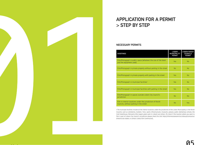

# **APPLICATION FOR A PERMIT > STEP BY STEP**

# **NECESSARY PERMITS**

| <b>SHOOTINGS</b>                                                                                       | <b>LISBON</b><br><b>MUNICIPALITY</b><br><b>PERMIT</b> | <b>LISBON PARISH</b><br><b>COUNCILS</b><br><b>PERMIT</b> |
|--------------------------------------------------------------------------------------------------------|-------------------------------------------------------|----------------------------------------------------------|
| Film/Photograph in public space (whatever the size of the team<br>and the equipment used)              | Yes                                                   | No                                                       |
| Film/Photograph in private property without parking in the street                                      | <b>No</b>                                             | <b>No</b>                                                |
| Film/Photograph in private property with parking in the street                                         | Yes                                                   | No                                                       |
| Film/Photograph in municipal facilities <sup>1</sup>                                                   | Yes                                                   | No                                                       |
| Film/Photograph in municipal facilities with parking in the street                                     | <b>Yes</b>                                            | No                                                       |
| Film/Photograph in spaces outside Lisbon City Council's<br>jurisdiction                                | <b>No</b>                                             | No                                                       |
| Film in interior locations under the jurisdiction of Parish<br>Councils, without parking in the street | <b>No</b>                                             | <b>Yes</b>                                               |

1 The municipal facilities include all the interior locations under the jurisdiction of the Lisbon Municipality or the Parish Councils, such as cemeteries, markets / fairs, sports infrastructures, museums, palaces, public elementary schools, the Cold Greenhouse, Monsanto (the largest green park in Lisbon) and others. (To check if the location where you want to film is part of Lisbon City Council's jurisdiction please check this link: https://informacoeseservicos.lisboa.pt/contactos/ diretorio-da-cidade, or contact Lisboa Film Commission).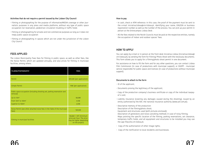#### **Activities that do not require a permit issued by the Lisbon City Council**

- · Filming or photographing for the purpose of informative/MEDIA coverage or other journalistic purposes in any press and media platforms, without any type of public space occupation nor reservation, pedestrian circulation troubling or traffic holds
- · Filming or photographing for private and non-commercial purposes as long as it does not imply public space occupation
- · Filming or photographing in spaces which are not under the jurisdiction of the Lisbon City Council

# **FEES APPLIED**

The Lisbon Municipality fixes fees for filming in public space, as well as other fees, like the Noise Permit, which are updated annually, and also prices for filming in municipal facilities, among others.

| FILMING/PHOTOGRAPHY                                                                  | <b>FEES</b>                                                                                         |
|--------------------------------------------------------------------------------------|-----------------------------------------------------------------------------------------------------|
| Permit                                                                               | 409,50€ (per application)                                                                           |
| Simple Permit                                                                        | 178€ (per application)                                                                              |
| Public space occupation (including shooting set, parking reservation and<br>removal) |                                                                                                     |
| Up to $10m²$                                                                         | 58,08€                                                                                              |
| From 10m <sup>2</sup> to 100m <sup>2</sup>                                           | 4,15€                                                                                               |
| Superior to 100m <sup>2</sup>                                                        | 2,05€                                                                                               |
| Noise Permit (see other attached noise fees in the Table of the municipal<br>fees)   | 169,55€                                                                                             |
| Filming in municipal facilities                                                      | $128,86€ + VAT$ (minimum<br>price per hour. The price<br>may be higher depending<br>on the project) |

#### **How to pay**

- · In cash, check or ATM reference. In this case, the proof of the payment must be sent to the e-mail iniciativa.lisboa@cm-lisboa.pt, identifying your name, EIN/SSN or business registration number as well as the number of the process. You can pick up your permit in person at the Entrecampos Lisboa Desk .
- · All the fees related to the Parish Councils must be paid at the respective entities, namely the occupation of indoor and outdoor spaces' fees.

# **HOW TO APPLY**

You can apply by e-mail or in person at the front desk Iniciativa Lisboa (iniciativa.lisboa@ cm-lisboa.pt), by sending the form for Filming/ Photo Shoot with the necessary documents. This form allows you to apply for a filming/photo shoot permit in one document.

For assistance on how to fill the form and for any other questions, you can contact Lisboa Film Commission (in case of productions with municipal support), or DGEPP - municipal service responsible for public space and licences (in case of productions without municipal support).

#### **Documents to attach to the form**

- · ID of the applicant;
- · Documents proving the legitimacy of the applicant;
- · Copy of the production company's business certificate or copy of the individual taxpayer's card;
- · Liability insurance (covering any damages caused during the shooting), issued by an entity authorized by the ASF, the national insurance authority (www.asf.com.pt);
- · Descriptive memory of the production: Description of the filming/photo shoot; Equipment and structures used (with pictures enclosed);

Description of generators and noise cancelling methods in case of noisy filming; Maps pointing the specific location of the filming, parking reservations, set clearance, temporary traffic holds, and all equipment and structures to be installed you may use the app http://lxi.cm-lisboa.pt;

- · Copy of the authorization of other image rights;
- · Copy of the notification to local residents and businesses.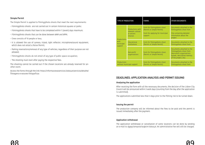#### **Simple Permit**

The Simple Permit is applied to filming/photo shoots that meet the next requirements:

- · Filmimg/photo shoots are not carried out in certain historical squares or parks;
- · Filmimg/photo shoots that have to be completed within 7 (seven) days maximum;
- · Filmimg/photo shoots that can be done between 8AM and 8PM;
- · Crew consists of 10 people or less;
- · It is allowed the use of camera, tripod, light reflector, microphone/sound equipment, which does not entail a Noise Permit;
- · Parking reservations/removal of any type of vehicles, regardless of their purpose are not allowed;
- · Filmimg/photo shoots do not entail of any type of public space occupation;
- · The shooting must start after paying the respective fees.

The shooting cannot be carried out if the chosen locations are already reserved for another event.

Access the forms through the link: https://informacoeseservicos.lisboa.pt/servicos/detalhe/ filmagens-e-sessoes-fotograficas

| <b>TYPE OF PRODUCTION</b>                   |                                                                  | <b>FORMS</b>                                                                                            | <b>OTHER DOCUMENTS</b>                                                                                                                   |
|---------------------------------------------|------------------------------------------------------------------|---------------------------------------------------------------------------------------------------------|------------------------------------------------------------------------------------------------------------------------------------------|
| Productions<br>with<br>municipal<br>support | Productions with<br>relevant cultural<br>or artistic<br>interest | Form for filming/photo shoot<br>(Permit or Simple Permit)<br>Form for applying for municipal<br>support | Documents attached to the<br>filming/photo shoot form<br>File containing detailed<br>information about the<br>project                    |
|                                             | Educational<br>Institutions                                      | Form for filming/photo shoot<br>(Permit or Simple Permit)                                               | Documents attached to the<br>filming/photo shoot form                                                                                    |
|                                             | Non-profit<br>organizations                                      | Form for filming/photo shoot.<br>(Permit or Simple Permit)                                              | Documents attached to the<br>filming/photo shoot form<br>(Non-profit organizations<br>bylaws, descriptive memory<br>of the project, etc) |
| Productions<br>without municipal support    |                                                                  | Form for filming/photo shoot<br>(Permit or Simple Permit)                                               | Documents attached to the<br>filming/photo shoot form                                                                                    |

# **DEADLINES: APPLICATION ANALYSIS AND PERMIT ISSUING**

#### **Analysing the application**

After receiving the form with all the necessary documents, the decision of the Lisbon City Council will be announced within 3 work days (counting from the day after the application is submitted).

The applications submitted less than 3 days prior to the filming risk to be turned down.

#### **Issuing the permit**

The production company will be informed about the fees to be paid and the permit is issued immediately after the payment.

#### **Application withdrawal**

The application withdrawal or cancellation of some locations can be done by sending an e-mail to dgepp.temporarias@cm-lisboa.pt. An administrative fee will still be charged.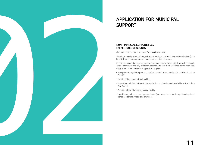# **APPLICATION FOR MUNICIPAL SUPPORT** APPLICATION FOR MUNICIPAL<br>
SUPPORT<br>
MON-FINNOIS, SUPPORT ON<br>
MON-FINNOIS, CHANGING, CHANGING<br>
CHANGING STREET FURNITURE, CHANGING STREET FURNITURE, CHANGING STREET FURNITURE, CHANGING STREET FURNITURE, CHANGING STREET FUR

# **NON-FINANCIAL SUPPORT/FEES EXEMPTIONS/DISCOUNTS**

Film and TV productions can apply for municipal support.

Shootings done by Non-profit organizations and by Educational Institutions (students) can benefit from tax exemptions and municipal facilities discounts.

In case the production is considered to have municipal interest, artistic or technical quality and showcases the city of Lisbon, according to the criteria defined by the municipal Regulations, other municipal support can be given:

- · Exemption from public space occupation fees and other municipal fees (like the Noise Permit);
- · Permit to film in a municipal facility;
- · Promotion and distribution of the production on the channels available at the Lisbon City Council;
- · Premiere of the film in a municipal facility;
-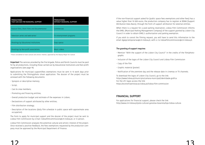| <b>PRODUCTIONS</b><br>THAT CAN ASK FOR MUNICIPAL SUPPORT  | <b>PRODUCTIONS</b><br>WITHOUT MUNICIPAL SUPPORT |
|-----------------------------------------------------------|-------------------------------------------------|
| Feature films, Short Films and Documentaries <sup>1</sup> | Commercials                                     |
| Television series and web-series <sup>1</sup>             | TV entertainment programs                       |
| Shootings by Educational Institutions                     | Soap operas                                     |
| Shootings by Non-profit associations                      | Music videos                                    |

1 Those considered to have cultural and artistic interest, approved by the Deputy Mayor for Culture.

**Important** The services provided by the Fire brigade, Police and Parish Councils must be paid for by all productions, including those carried out by Educational Institutions and Non-profit organizations (see page 19).

Applications for municipal support/fees exemptions must be sent in 15 work days prior to submitting the filming/photo shoot application. The dossier of the project must be annexed with the following documents:

· Synopsis or descriptive memory;

· Script;

- · Cast & crew members;
- · Promoting and financing entities;
- · Overall production budget and estimate of the expenses in Lisbon;
- · Declarations of support attributed by other entities;
- · Film distribution strategy;
- · Description of the locations (daily film schedule in public space with approximate area occupation).

The Form to apply for municipal support and the dossier of the project must be sent to Lisboa Film Commission by e-mail: lisboafilmcommission@cm-lisboa.pt, or in person.

Lisboa Film Commission analyzes the potential cultural and artistic interest of the project. Once received a positive feedback, the fees exemptions requested by the production company must be approved by the Municipal Department of Finance.

If the non-financial support asked for (public space fees exemptions and other fees) has a value higher than 10 000 euros, the production company has to register at BDAA (Support Attribution Data Basis), through the Form of support attribution for external entities.

When there is a request for a paid parking reservation, Lisboa Film Commission informs the EMEL (Municipal Parking Management Company) of the support granted by Lisbon City Council in order to obtain EMEL's authorization and parking exemption.

If you wish to cancel the filming request, you will have to send this information to the email dgepp.temporarias@cm-lisboa.pt, with cc to lisboafilmcommission@cm-lisboa.pt.

#### **The granting of support requires**

- · Mention "With the support of the Lisbon City Council" in the credits of the film/photographs
- · Inclusion of the logos of the Lisbon City Council and Lisboa Film Commission
- · Copy of the film
- · Graphic material (poster)
- · Notification of the premiere day and the release date in cinemas or TV channels.

To download the logos of Lisbon City Council, go to the link: https://www.lisboa.pt/municipio/camara-municipal/identidade-grafica For the LFC logos access the link: https://economiaeinovacao.lisboa.pt/lisboa-film-commission

## **FINANCIAL SUPPORT**

For applications for financial support, please check the link: http://www.cm-lisboa.pt/polo-cultural-gaivotas-boavista/loja-lisboa-cultura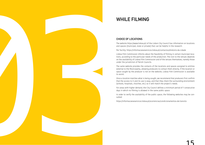# **WHILE FILMING**

# **CHOICE OF LOCATIONS**

The website https://www.lisboa.pt/ of the Lisbon City Council has information on locations and spaces (municipal, state or private) that can be helpful in the research:

Per facility: https://informacoeseservicos.lisboa.pt/contactos/diretorio-da-cidade

Lisboa Film Commission informs about the feasibility of filming in certain municipal locations, according to the particular needs of the production. The visit to the venues depends on the availability of Lisboa Film Commission and of the venues themselves, namely those under the jurisdiction of Parish Councils.

The same website provides the contacts of the locations and spaces assigned to entities external to the Municipality, allowing producers to contact them directly. If the location or space sought by the producer is not on the website, Lisboa Film Commission is available to assist. WHILE FILMING<br>  $\frac{1}{2}$  subsequent conditions<br>  $\frac{1}{2}$  subsequent conditions and the subsequent conditions of the subsequent conditions of the subsequent conditions of the subsequent conditions of the subsequent condit

Once a location matches what is being sought, we recommend that producers first confirm that the access to it and its use is easy, and that they check the surrounding environment (schools, hospitals, churches, etc.) so it will match the project's needs.

For areas with higher demand, the City Council defines a minimum period of 7 consecutive days in which no filming is allowed in the same public space.

In order to verify the availability of the public space, the following websites may be con-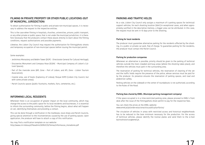# **FILMING IN PRIVATE PROPERTY OR OTHER PUBLIC LOCATIONS (OUT OF MUNICIPAL JURISDICTION)**

To obtain authorization for filming in public and private non-municipal spaces, it is necessary to address the request to the respective entities.

This is the case when filming in hospitals, churches, universities, prisons, public transport, or any other private or public space, that is not under the municipal jurisdiction, it is therefore necessary that the producers contact these places directly to learn about the filming conditions, request authorizations and possible payments.

Likewise, the Lisbon City Council may request the authorization for filming/photo shoots and temporary occupation of non-municipal spaces before issuing the municipal permit.

#### Some examples:

- · Jerónimos Monastery and Belém Tower (DGPC Directorate General for Cultural Heritage);
- · Discoveries Monument and Compass Rose (EGEAC Municipal Company of Lisbon's Cultural Spaces);
- · Part of the riverside zone (APL Zone Port of Lisbon, and ATL Zone Lisbon Tourism Association);
- · Coastal area, use of boats (Captaincy of Lisboa); Parque EXPO (Lisbon City Council, but with some private areas);
- · Parish Councils spaces (public fountains, markets, fairs, cemeteries, etc.).

# **INFORMING LOCAL RESIDENTS**

Whenever there is an occupation of greater impact on the local community, which may change the access to the public space for its local residents and businesses, it is essential to inform the surrounding community, before the filming begins, about what will happen on set, identifying themselves and providing a contact.

This can be done through a notification in the mailboxes, local shops and Parish Councils, giving special attention to the inconveniences caused by the use of parking spaces. Upon application, the producer will have to attach a copy of this notification.

You may find a notification template on our website: http://www.cm-lisboa.pt/fileadmin/SERVICOS/Temas/Informacao\_moradores.pdf

## **PARKING AND TRAFFIC HOLDS**

As a rule, Lisbon City Council only assigns a maximum of 5 parking spaces for technical/ support vehicles, for each shooting location (50m2 ).In exceptional cases, and when appropriately justified in the descriptive memory, a bigger area can be attributed. In this case, the request must be sent in 10 days prior to the shooting.

#### **Parking for local residents**

The producer must guarantee alternative parking for the residents affected by the shooting, in a public or private car park, free of charge. To guarantee parking for the residents, the producer must contact the Parish Council.

#### **Parking for production companies**

Whenever an alternative is possible, priority should be given to the parking of technical vehicles outside the most crowded and busy areas (where the shooting takes place), and therefore the vehicles must park in the surrounding area.

The reservation of parking for technical vehicles, the reservation of cleaning of the set and the traffic holds require the presence of the police, whose services must be paid for by the producer. Its presence ensures the reservation of parking spaces, and road and pedestrian safety.

Parking vehicles on the sidewalk or the center of roundabouts is not authorized, according to the Rules of the Road.

#### **Parking fees chared by EMEL (Municipal parking management company)**

If the space occupied is in a time-restricted parking zone, please proceed to EMEL's front desk after the issue of the filming/photo shoot permit to pay for the respective fees.

You can check the prices at the EMEL website: www.emel.pt/pt/onde-estacionar/via-publica/tarifarios/

The circulation of vehicles in areas with restricted access and historical neighborhoods has to be reduced to the bare minimum necessary for the production. For the access of technical vehicles, please identify the license plates and send them to the e-mail bairroshistoricos@emel.pt.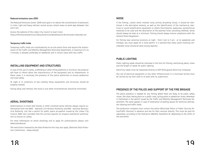#### **Reduced emissions zone (ZER)**

The Reduced Emissions Zones' (ZER) main goal is to reduce the concentration of pollutants in cities. Light and heavy vehicles cannot access certain areas on work days between 7am and 9 pm.

Access the website of the Lisbon City Council to learn more: https://informacoeseservicos.lisboa.pt/servicos/detalhe/zona-de-emissoes-reduzidas-zer

#### **Temporary traffic holds**

Temporary traffic holds are coordinated by an on-site police force and require the authorization of the Traffic and Mobility Management Municipal Department. A maximum of 2 to 3 minutes is allowed, preferably on weekends and in certain areas with less traffic.

## **INSTALLING EQUIPMENT AND STRUCTURES**

In case of the use of cranes, scaffolding or other lifting platforms or furniture, the producer will have to inform about the characteristics of the equipment and its implantation. In these cases it is necessary the presence of the police authorities to ensure pedestrian and road safety.

At night or in conditions of low visibility these equipments and structures should be properly marked.

During setup and removal, the noise or any other inconveniences should be minimized.

# **AERIAL SHOOTINGS**

Authorizations to shoot with drones or other unnamed aerial vehicles always require authorization from the ANAC - National Civil Aviation Authority and AAN - National Aeronautical Authority. Just like a permit for public space occupation issued by the Lisbon City Council, ANAC also considers that this activity requires an airspace reservation authorization to ensure air safety.

For more information on drone shootings and to apply for authorizations please visit: www.voanaboa.pt

The restrictions imposed by the Data Protection Act may also apply. (National Data Protection Commission – www.cnpd.pt)

# **NOISE**

If the filming / photo shoot involves noisy activity (troubling noise), it should be mentioned in the descriptive memory, as well as the identification of the mechanical, electrical or sound amplification equipment or others (f.ex.firearms, explosives, pyrotechnical material) to be used and the description of the planned noise cancelling methods. Noise should always be kept at a minimum. Filming should always ensure compliance with the General Noise Regulation.

For filming near sensitive locations at night - from 9 pm to 9 am - or on weekends and holidays, you must apply for a noise permit. It is advised that every scene involving considerable noise should be done during daytime.

# **PUBLIC LIGHTING**

Public lighting needs should be indicated in the form for filming, mentioning dates, times and the length of needs for public lighting.

Electricity needs must be requested directly to EDP (Portuguese Electricity Company).

Any use of electrical equipment or any other infrastructures in a municipal facility must be carried out by their staff or at least with its supervision.

# **PRESENCE OF THE POLICE AND SUPPORT OF THE FIRE BRIGADE**

The police presence is needed for any filming where there are likely to be public safety issues, like shots taking place on a public road, cycling paths or pedestrian zones, whenever is mentioned in the permit issued by the Traffic and Mobility Management Municipal Department. The same applies in case of reservation of parking spaces for technical vehicles, set cleaning and traffic holds.

The production company must contact the police (Municipal Police or Public Security Police/Traffic Division) in advance and ask for their services directly. This must be paid for separately, according to the Ordinance 298/2016, Novembre 29, depending on the shifts of the policemen.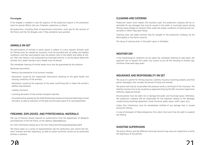#### **Fire brigade**

A fire brigade is needed in case the logistics of the production require a fire prevention team for special effects, like rain, fireworks, explosions or others.

All productions, including those of educational institutions, must pay for the services of the Police and the Fire Brigade, even if fees exemption was granted.

# **ANIMALS ON SET**

The participation of animals in public places is subject to a prior request. Animals used for filming must be covered by insurance, must be provided with all safety and welfare conditions, and their participation may not present risks to the health and safety of others. Their use implies a risk assessment by municipal services. In all the places where the animals are a water fountain and a feeder must be placed.

The immediate cleaning of animal waste must also be guaranteed by the producer.

#### Necessary documents:

- · Medical documentation of all animals involved;
- · Declaration issued by the responsible veterinarian attesting to the good health and housing conditions of the animals;
- · Declaration issued by the organizer of the event confirming that it meets the animal's welfare requirements;
- · Liability insurance;
- · Licensing document of the animals transport vehicles;
- · Pre-authorization granted by the DGAV (Directorate General of Food and Veterinary) to hold the event, as well as indication of the date and the exact place of its accomplishment.

# **FIREARMS, EXPLOSIVES, AND PYROTECHNICAL MATERIALS**

The use of firearms (shots) requires an authorization from the Department of Weapons and Explosives of the the Police, at the address: depaex@psp.pt.

For more information please go to the link: https://seronline.psp.pt/psp/login.pdc#

The Police takes on a series of responsibilities like the verification and control the firearms' licenses and their legitimacy, as well as certain activities carried out by authorized entities or persons.

Production teams must respect the locations used. The production company will be responsible for any damages that may be caused in the public or municipal spaces during filming, being obliged to maintain them under the proper conditions of cleaning and conservation in which they were found.

Cleaning costs and water services may be charged to the production company, by the Municipality or the Parish Councils.

The setup of catering tents in the public space is forbidden.

# **WEATHER DAY**

If the meteorological conditions do not allow the scheduled shooting to take place, the applicant has to request the Lisbon City Council to put off the shooting to another day, minimum three work days apart.

# **INSURANCE AND RESPONSIBILITY ON SET**

The issue of a permit for filming requires a liability insurance (covering property and third parties damages), that includes the period of setup and removal.

The permit will only be issued when the producer sends a certificate of the insurance. The liability insurance has to be issued by an approved entity by the ASF, Insurance Supervision Authority, (www.asf.com.pt)

All precautions must be taken not to damage the public and municipal space. Otherwise, the production company will be responsible for the expenses related to the damages caused during shootings (pavement, street furniture, green space, traffic signs, etc.).

Lisboa Film Commission must be immediately notified of any damage that is caused during the filming.

In case of disrespect of these obligations, the Lisbon City Council has the right to suspend the filming.

# **SHOOTING SUPERVISION**

The police officers and the different municipal services may carry out inspections to verify the legitimacy of the permits.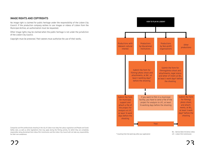# **IMAGE RIGHTS AND COPYRIGHTS**

No image right is claimed for public heritage under the responsibility of the Lisbon City Council. If the production company wishes to use images or videos of Lisbon from the Municipal Archive, an authorization must be requested.

Other image rights may be claimed when the public heritage is not under the jurisdiction of the Lisbon City Council.

Copyright must be protected. Their owners must authorize the use of their works.

Companies and film professionals shooting in the city of Lisbon must obey the Labour Legislation and People and Goods Safety rules, as well as other legislations that may apply during the filming activity, for which they are completely responsible, being disclaimed that Lisboa Film Commission and the Lisbon City Council will not take any responsibility for their non-compliance.



\* Counting from the work day after your application

BIL - Service Desk Iniciativa Lisboa<br>LEC - Lisbon Eilm Commission